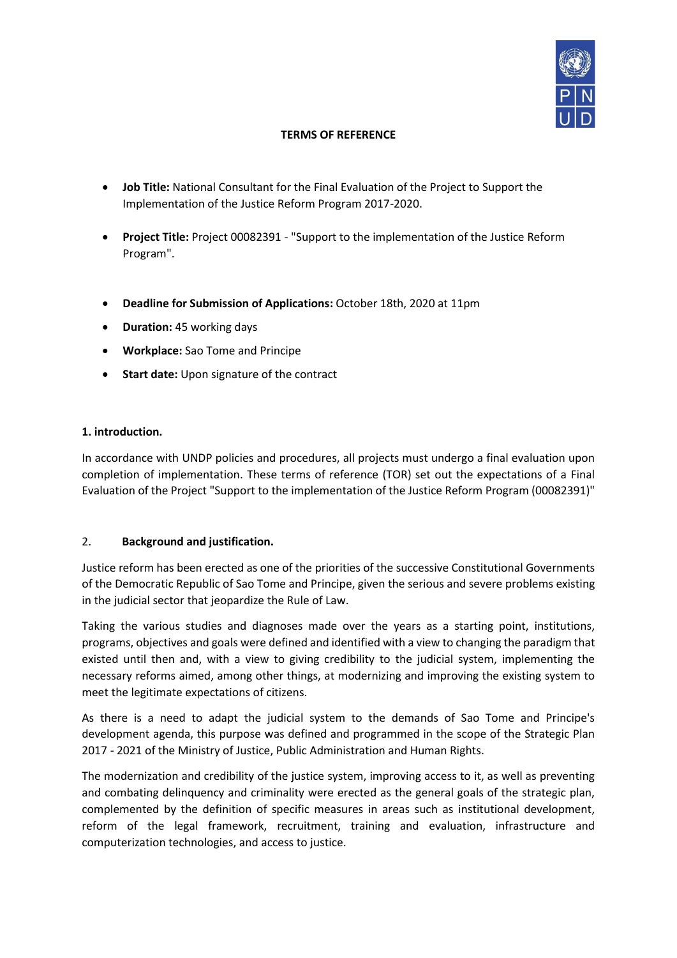

# **TERMS OF REFERENCE**

- **Job Title:** National Consultant for the Final Evaluation of the Project to Support the Implementation of the Justice Reform Program 2017-2020.
- **Project Title:** Project 00082391 "Support to the implementation of the Justice Reform Program".
- **Deadline for Submission of Applications:** October 18th, 2020 at 11pm
- **Duration:** 45 working days
- **Workplace:** Sao Tome and Principe
- **Start date:** Upon signature of the contract

## **1. introduction.**

In accordance with UNDP policies and procedures, all projects must undergo a final evaluation upon completion of implementation. These terms of reference (TOR) set out the expectations of a Final Evaluation of the Project "Support to the implementation of the Justice Reform Program (00082391)"

## 2. **Background and justification.**

Justice reform has been erected as one of the priorities of the successive Constitutional Governments of the Democratic Republic of Sao Tome and Principe, given the serious and severe problems existing in the judicial sector that jeopardize the Rule of Law.

Taking the various studies and diagnoses made over the years as a starting point, institutions, programs, objectives and goals were defined and identified with a view to changing the paradigm that existed until then and, with a view to giving credibility to the judicial system, implementing the necessary reforms aimed, among other things, at modernizing and improving the existing system to meet the legitimate expectations of citizens.

As there is a need to adapt the judicial system to the demands of Sao Tome and Principe's development agenda, this purpose was defined and programmed in the scope of the Strategic Plan 2017 - 2021 of the Ministry of Justice, Public Administration and Human Rights.

The modernization and credibility of the justice system, improving access to it, as well as preventing and combating delinquency and criminality were erected as the general goals of the strategic plan, complemented by the definition of specific measures in areas such as institutional development, reform of the legal framework, recruitment, training and evaluation, infrastructure and computerization technologies, and access to justice.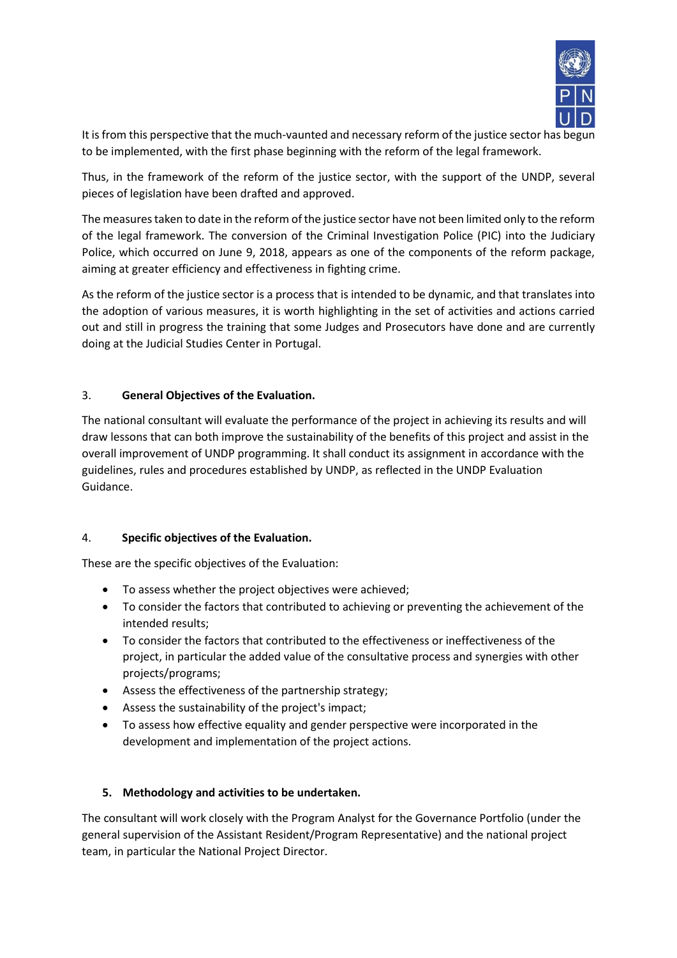

It is from this perspective that the much-vaunted and necessary reform of the justice sector has begun to be implemented, with the first phase beginning with the reform of the legal framework.

Thus, in the framework of the reform of the justice sector, with the support of the UNDP, several pieces of legislation have been drafted and approved.

The measures taken to date in the reform of the justice sector have not been limited only to the reform of the legal framework. The conversion of the Criminal Investigation Police (PIC) into the Judiciary Police, which occurred on June 9, 2018, appears as one of the components of the reform package, aiming at greater efficiency and effectiveness in fighting crime.

As the reform of the justice sector is a process that is intended to be dynamic, and that translates into the adoption of various measures, it is worth highlighting in the set of activities and actions carried out and still in progress the training that some Judges and Prosecutors have done and are currently doing at the Judicial Studies Center in Portugal.

## 3. **General Objectives of the Evaluation.**

The national consultant will evaluate the performance of the project in achieving its results and will draw lessons that can both improve the sustainability of the benefits of this project and assist in the overall improvement of UNDP programming. It shall conduct its assignment in accordance with the guidelines, rules and procedures established by UNDP, as reflected in the UNDP Evaluation Guidance.

## 4. **Specific objectives of the Evaluation.**

These are the specific objectives of the Evaluation:

- To assess whether the project objectives were achieved;
- To consider the factors that contributed to achieving or preventing the achievement of the intended results;
- To consider the factors that contributed to the effectiveness or ineffectiveness of the project, in particular the added value of the consultative process and synergies with other projects/programs;
- Assess the effectiveness of the partnership strategy;
- Assess the sustainability of the project's impact;
- To assess how effective equality and gender perspective were incorporated in the development and implementation of the project actions.

## **5. Methodology and activities to be undertaken.**

The consultant will work closely with the Program Analyst for the Governance Portfolio (under the general supervision of the Assistant Resident/Program Representative) and the national project team, in particular the National Project Director.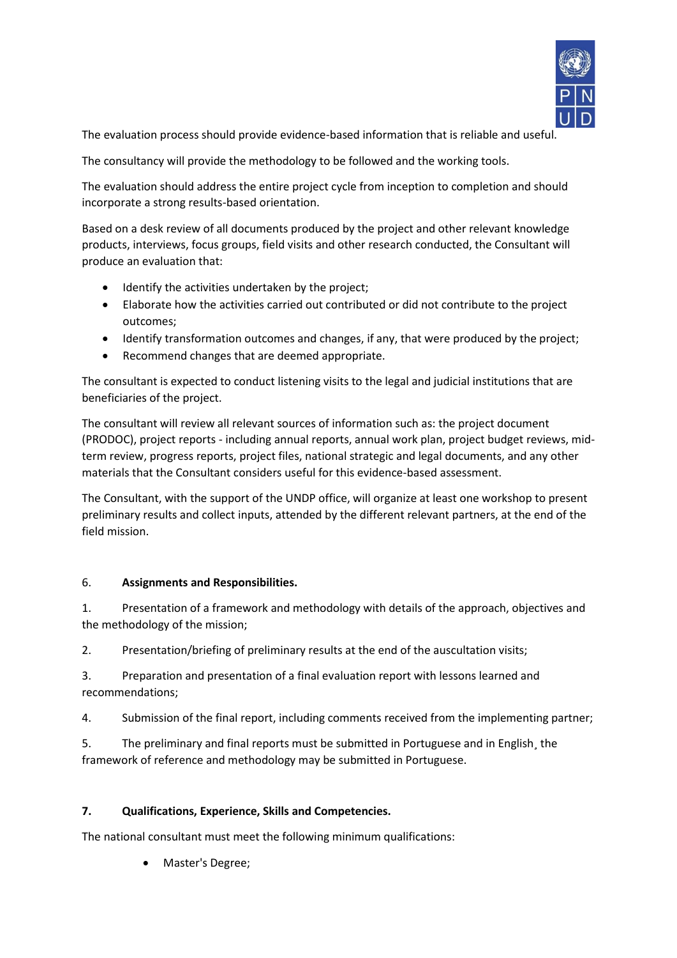

The evaluation process should provide evidence-based information that is reliable and useful.

The consultancy will provide the methodology to be followed and the working tools.

The evaluation should address the entire project cycle from inception to completion and should incorporate a strong results-based orientation.

Based on a desk review of all documents produced by the project and other relevant knowledge products, interviews, focus groups, field visits and other research conducted, the Consultant will produce an evaluation that:

- Identify the activities undertaken by the project;
- Elaborate how the activities carried out contributed or did not contribute to the project outcomes;
- Identify transformation outcomes and changes, if any, that were produced by the project;
- Recommend changes that are deemed appropriate.

The consultant is expected to conduct listening visits to the legal and judicial institutions that are beneficiaries of the project.

The consultant will review all relevant sources of information such as: the project document (PRODOC), project reports - including annual reports, annual work plan, project budget reviews, midterm review, progress reports, project files, national strategic and legal documents, and any other materials that the Consultant considers useful for this evidence-based assessment.

The Consultant, with the support of the UNDP office, will organize at least one workshop to present preliminary results and collect inputs, attended by the different relevant partners, at the end of the field mission.

## 6. **Assignments and Responsibilities.**

1. Presentation of a framework and methodology with details of the approach, objectives and the methodology of the mission;

2. Presentation/briefing of preliminary results at the end of the auscultation visits;

3. Preparation and presentation of a final evaluation report with lessons learned and recommendations;

4. Submission of the final report, including comments received from the implementing partner;

5. The preliminary and final reports must be submitted in Portuguese and in English, the framework of reference and methodology may be submitted in Portuguese.

## **7. Qualifications, Experience, Skills and Competencies.**

The national consultant must meet the following minimum qualifications:

• Master's Degree;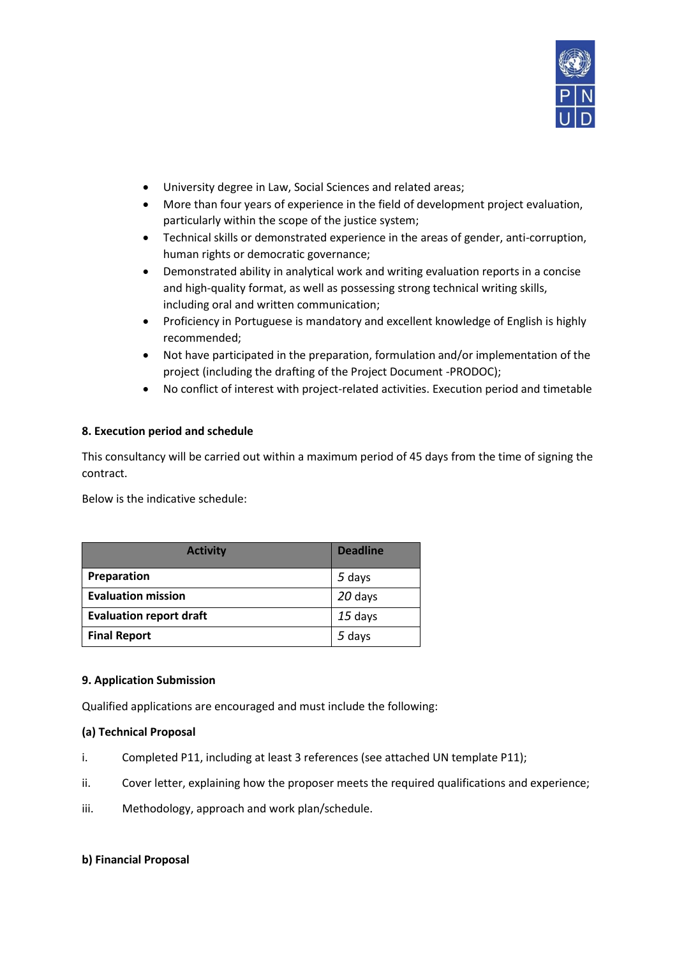

- University degree in Law, Social Sciences and related areas;
- More than four years of experience in the field of development project evaluation, particularly within the scope of the justice system;
- Technical skills or demonstrated experience in the areas of gender, anti-corruption, human rights or democratic governance;
- Demonstrated ability in analytical work and writing evaluation reports in a concise and high-quality format, as well as possessing strong technical writing skills, including oral and written communication;
- Proficiency in Portuguese is mandatory and excellent knowledge of English is highly recommended;
- Not have participated in the preparation, formulation and/or implementation of the project (including the drafting of the Project Document -PRODOC);
- No conflict of interest with project-related activities. Execution period and timetable

## **8. Execution period and schedule**

This consultancy will be carried out within a maximum period of 45 days from the time of signing the contract.

Below is the indicative schedule:

| <b>Activity</b>                | <b>Deadline</b> |
|--------------------------------|-----------------|
| Preparation                    | 5 days          |
| <b>Evaluation mission</b>      | 20 days         |
| <b>Evaluation report draft</b> | $15$ days       |
| <b>Final Report</b>            | 5 days          |

### **9. Application Submission**

Qualified applications are encouraged and must include the following:

### **(a) Technical Proposal**

- i. Completed P11, including at least 3 references (see attached UN template P11);
- ii. Cover letter, explaining how the proposer meets the required qualifications and experience;
- iii. Methodology, approach and work plan/schedule.

## **b) Financial Proposal**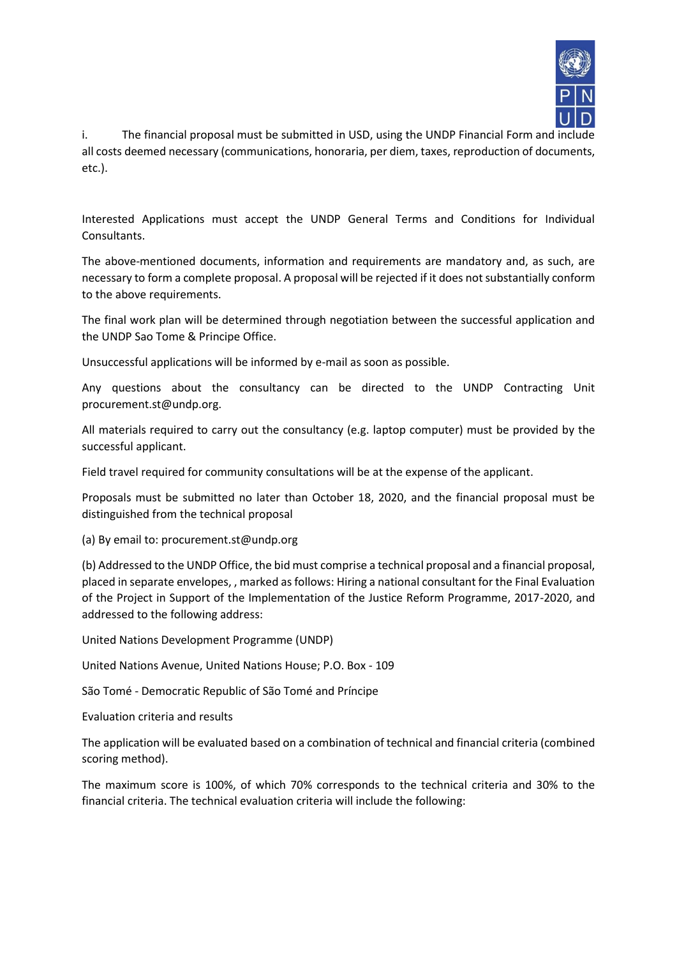

i. The financial proposal must be submitted in USD, using the UNDP Financial Form and include all costs deemed necessary (communications, honoraria, per diem, taxes, reproduction of documents, etc.).

Interested Applications must accept the UNDP General Terms and Conditions for Individual Consultants.

The above-mentioned documents, information and requirements are mandatory and, as such, are necessary to form a complete proposal. A proposal will be rejected if it does not substantially conform to the above requirements.

The final work plan will be determined through negotiation between the successful application and the UNDP Sao Tome & Principe Office.

Unsuccessful applications will be informed by e-mail as soon as possible.

Any questions about the consultancy can be directed to the UNDP Contracting Unit procurement.st@undp.org.

All materials required to carry out the consultancy (e.g. laptop computer) must be provided by the successful applicant.

Field travel required for community consultations will be at the expense of the applicant.

Proposals must be submitted no later than October 18, 2020, and the financial proposal must be distinguished from the technical proposal

(a) By email to: procurement.st@undp.org

(b) Addressed to the UNDP Office, the bid must comprise a technical proposal and a financial proposal, placed in separate envelopes, , marked as follows: Hiring a national consultant for the Final Evaluation of the Project in Support of the Implementation of the Justice Reform Programme, 2017-2020, and addressed to the following address:

United Nations Development Programme (UNDP)

United Nations Avenue, United Nations House; P.O. Box - 109

São Tomé - Democratic Republic of São Tomé and Príncipe

Evaluation criteria and results

The application will be evaluated based on a combination of technical and financial criteria (combined scoring method).

The maximum score is 100%, of which 70% corresponds to the technical criteria and 30% to the financial criteria. The technical evaluation criteria will include the following: